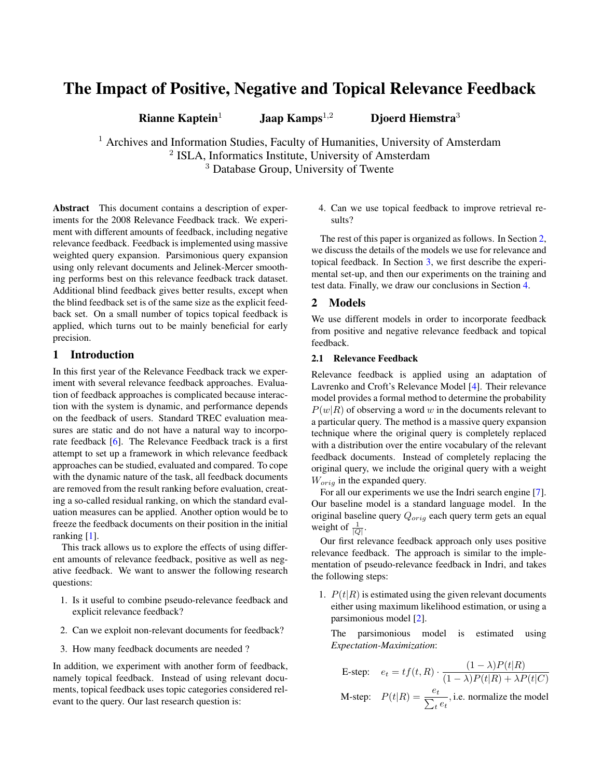# The Impact of Positive, Negative and Topical Relevance Feedback

Rianne Kaptein<sup>1</sup> Jaap Kamps<sup>1,2</sup> Djoerd Hiemstra<sup>3</sup>

<sup>1</sup> Archives and Information Studies, Faculty of Humanities, University of Amsterdam <sup>2</sup> ISLA, Informatics Institute, University of Amsterdam <sup>3</sup> Database Group, University of Twente

Abstract This document contains a description of experiments for the 2008 Relevance Feedback track. We experiment with different amounts of feedback, including negative relevance feedback. Feedback is implemented using massive weighted query expansion. Parsimonious query expansion using only relevant documents and Jelinek-Mercer smoothing performs best on this relevance feedback track dataset. Additional blind feedback gives better results, except when the blind feedback set is of the same size as the explicit feedback set. On a small number of topics topical feedback is applied, which turns out to be mainly beneficial for early precision.

# 1 Introduction

In this first year of the Relevance Feedback track we experiment with several relevance feedback approaches. Evaluation of feedback approaches is complicated because interaction with the system is dynamic, and performance depends on the feedback of users. Standard TREC evaluation measures are static and do not have a natural way to incorporate feedback [\[6\]](#page-6-0). The Relevance Feedback track is a first attempt to set up a framework in which relevance feedback approaches can be studied, evaluated and compared. To cope with the dynamic nature of the task, all feedback documents are removed from the result ranking before evaluation, creating a so-called residual ranking, on which the standard evaluation measures can be applied. Another option would be to freeze the feedback documents on their position in the initial ranking [\[1\]](#page-6-1).

This track allows us to explore the effects of using different amounts of relevance feedback, positive as well as negative feedback. We want to answer the following research questions:

- 1. Is it useful to combine pseudo-relevance feedback and explicit relevance feedback?
- 2. Can we exploit non-relevant documents for feedback?
- 3. How many feedback documents are needed ?

In addition, we experiment with another form of feedback, namely topical feedback. Instead of using relevant documents, topical feedback uses topic categories considered relevant to the query. Our last research question is:

4. Can we use topical feedback to improve retrieval results?

The rest of this paper is organized as follows. In Section [2,](#page-0-0) we discuss the details of the models we use for relevance and topical feedback. In Section [3,](#page-1-0) we first describe the experimental set-up, and then our experiments on the training and test data. Finally, we draw our conclusions in Section [4.](#page-5-0)

# <span id="page-0-0"></span>2 Models

We use different models in order to incorporate feedback from positive and negative relevance feedback and topical feedback.

# 2.1 Relevance Feedback

Relevance feedback is applied using an adaptation of Lavrenko and Croft's Relevance Model [\[4\]](#page-6-2). Their relevance model provides a formal method to determine the probability  $P(w|R)$  of observing a word w in the documents relevant to a particular query. The method is a massive query expansion technique where the original query is completely replaced with a distribution over the entire vocabulary of the relevant feedback documents. Instead of completely replacing the original query, we include the original query with a weight  $W_{orig}$  in the expanded query.

For all our experiments we use the Indri search engine [\[7\]](#page-6-3). Our baseline model is a standard language model. In the original baseline query  $Q_{orig}$  each query term gets an equal weight of  $\frac{1}{|Q|}$ .

Our first relevance feedback approach only uses positive relevance feedback. The approach is similar to the implementation of pseudo-relevance feedback in Indri, and takes the following steps:

1.  $P(t|R)$  is estimated using the given relevant documents either using maximum likelihood estimation, or using a parsimonious model [\[2\]](#page-6-4).

The parsimonious model is estimated using *Expectation-Maximization*:

E-step: 
$$
e_t = tf(t, R) \cdot \frac{(1 - \lambda)P(t|R)}{(1 - \lambda)P(t|R) + \lambda P(t|C)}
$$
  
M-step:  $P(t|R) = \frac{e_t}{\sum_t e_t}$ , i.e. normalize the model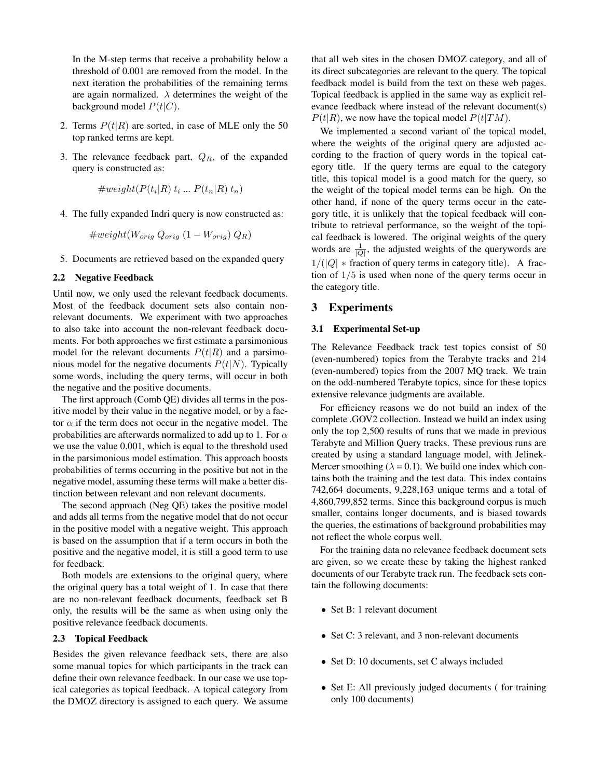In the M-step terms that receive a probability below a threshold of 0.001 are removed from the model. In the next iteration the probabilities of the remaining terms are again normalized.  $\lambda$  determines the weight of the background model  $P(t|C)$ .

- 2. Terms  $P(t|R)$  are sorted, in case of MLE only the 50 top ranked terms are kept.
- 3. The relevance feedback part,  $Q_R$ , of the expanded query is constructed as:

$$
\#weight(P(t_i|R) t_i ... P(t_n|R) t_n)
$$

4. The fully expanded Indri query is now constructed as:

 $\#weight(W_{orig} Q_{orig} (1 - W_{orig}) Q_R)$ 

5. Documents are retrieved based on the expanded query

#### 2.2 Negative Feedback

Until now, we only used the relevant feedback documents. Most of the feedback document sets also contain nonrelevant documents. We experiment with two approaches to also take into account the non-relevant feedback documents. For both approaches we first estimate a parsimonious model for the relevant documents  $P(t|R)$  and a parsimonious model for the negative documents  $P(t|N)$ . Typically some words, including the query terms, will occur in both the negative and the positive documents.

The first approach (Comb QE) divides all terms in the positive model by their value in the negative model, or by a factor  $\alpha$  if the term does not occur in the negative model. The probabilities are afterwards normalized to add up to 1. For  $\alpha$ we use the value 0.001, which is equal to the threshold used in the parsimonious model estimation. This approach boosts probabilities of terms occurring in the positive but not in the negative model, assuming these terms will make a better distinction between relevant and non relevant documents.

The second approach (Neg QE) takes the positive model and adds all terms from the negative model that do not occur in the positive model with a negative weight. This approach is based on the assumption that if a term occurs in both the positive and the negative model, it is still a good term to use for feedback.

Both models are extensions to the original query, where the original query has a total weight of 1. In case that there are no non-relevant feedback documents, feedback set B only, the results will be the same as when using only the positive relevance feedback documents.

#### 2.3 Topical Feedback

Besides the given relevance feedback sets, there are also some manual topics for which participants in the track can define their own relevance feedback. In our case we use topical categories as topical feedback. A topical category from the DMOZ directory is assigned to each query. We assume that all web sites in the chosen DMOZ category, and all of its direct subcategories are relevant to the query. The topical feedback model is build from the text on these web pages. Topical feedback is applied in the same way as explicit relevance feedback where instead of the relevant document(s)  $P(t|R)$ , we now have the topical model  $P(t|TM)$ .

We implemented a second variant of the topical model, where the weights of the original query are adjusted according to the fraction of query words in the topical category title. If the query terms are equal to the category title, this topical model is a good match for the query, so the weight of the topical model terms can be high. On the other hand, if none of the query terms occur in the category title, it is unlikely that the topical feedback will contribute to retrieval performance, so the weight of the topical feedback is lowered. The original weights of the query words are  $\frac{1}{|Q|}$ , the adjusted weights of the querywords are  $1/(|Q| *$  fraction of query terms in category title). A fraction of  $1/5$  is used when none of the query terms occur in the category title.

## <span id="page-1-0"></span>3 Experiments

#### 3.1 Experimental Set-up

The Relevance Feedback track test topics consist of 50 (even-numbered) topics from the Terabyte tracks and 214 (even-numbered) topics from the 2007 MQ track. We train on the odd-numbered Terabyte topics, since for these topics extensive relevance judgments are available.

For efficiency reasons we do not build an index of the complete .GOV2 collection. Instead we build an index using only the top 2,500 results of runs that we made in previous Terabyte and Million Query tracks. These previous runs are created by using a standard language model, with Jelinek-Mercer smoothing ( $\lambda = 0.1$ ). We build one index which contains both the training and the test data. This index contains 742,664 documents, 9,228,163 unique terms and a total of 4,860,799,852 terms. Since this background corpus is much smaller, contains longer documents, and is biased towards the queries, the estimations of background probabilities may not reflect the whole corpus well.

For the training data no relevance feedback document sets are given, so we create these by taking the highest ranked documents of our Terabyte track run. The feedback sets contain the following documents:

- Set B: 1 relevant document
- Set C: 3 relevant, and 3 non-relevant documents
- Set D: 10 documents, set C always included
- Set E: All previously judged documents ( for training only 100 documents)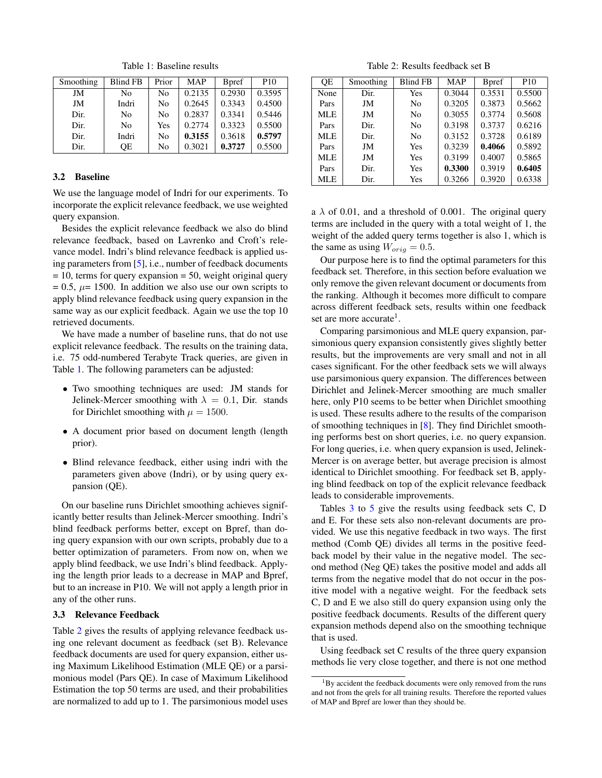Smoothing | Blind FB | Prior | MAP | Bpref | P10 JM No No 0.2135 0.2930 0.3595 JM | Indri | No | 0.2645 | 0.3343 | 0.4500 Dir. | No | No | 0.2837 | 0.3341 | 0.5446 Dir. | No | Yes | 0.2774 | 0.3323 | 0.5500 Dir. | Indri | No | **0.3155** | 0.3618 | **0.5797** Dir.  $\qquad \qquad \text{QE} \qquad \text{No} \qquad 0.3021 \qquad 0.3727 \qquad 0.5500$ 

<span id="page-2-0"></span>Table 1: Baseline results

#### 3.2 Baseline

We use the language model of Indri for our experiments. To incorporate the explicit relevance feedback, we use weighted query expansion.

Besides the explicit relevance feedback we also do blind relevance feedback, based on Lavrenko and Croft's relevance model. Indri's blind relevance feedback is applied using parameters from [\[5\]](#page-6-5), i.e., number of feedback documents  $= 10$ , terms for query expansion  $= 50$ , weight original query  $= 0.5$ ,  $\mu = 1500$ . In addition we also use our own scripts to apply blind relevance feedback using query expansion in the same way as our explicit feedback. Again we use the top 10 retrieved documents.

We have made a number of baseline runs, that do not use explicit relevance feedback. The results on the training data, i.e. 75 odd-numbered Terabyte Track queries, are given in Table [1.](#page-2-0) The following parameters can be adjusted:

- Two smoothing techniques are used: JM stands for Jelinek-Mercer smoothing with  $\lambda = 0.1$ , Dir. stands for Dirichlet smoothing with  $\mu = 1500$ .
- A document prior based on document length (length prior).
- Blind relevance feedback, either using indri with the parameters given above (Indri), or by using query expansion (QE).

On our baseline runs Dirichlet smoothing achieves significantly better results than Jelinek-Mercer smoothing. Indri's blind feedback performs better, except on Bpref, than doing query expansion with our own scripts, probably due to a better optimization of parameters. From now on, when we apply blind feedback, we use Indri's blind feedback. Applying the length prior leads to a decrease in MAP and Bpref, but to an increase in P10. We will not apply a length prior in any of the other runs.

#### 3.3 Relevance Feedback

Table [2](#page-2-1) gives the results of applying relevance feedback using one relevant document as feedback (set B). Relevance feedback documents are used for query expansion, either using Maximum Likelihood Estimation (MLE QE) or a parsimonious model (Pars QE). In case of Maximum Likelihood Estimation the top 50 terms are used, and their probabilities are normalized to add up to 1. The parsimonious model uses

<span id="page-2-1"></span>Table 2: Results feedback set B

| QE   | Smoothing | <b>Blind FB</b> | <b>MAP</b> | <b>B</b> pref | P <sub>10</sub> |
|------|-----------|-----------------|------------|---------------|-----------------|
| None | Dir.      | Yes             | 0.3044     | 0.3531        | 0.5500          |
| Pars | JM        | No              | 0.3205     | 0.3873        | 0.5662          |
| MLE  | JM        | No              | 0.3055     | 0.3774        | 0.5608          |
| Pars | Dir.      | No              | 0.3198     | 0.3737        | 0.6216          |
| MLE  | Dir.      | N <sub>0</sub>  | 0.3152     | 0.3728        | 0.6189          |
| Pars | JM        | Yes             | 0.3239     | 0.4066        | 0.5892          |
| MLE  | JM        | Yes             | 0.3199     | 0.4007        | 0.5865          |
| Pars | Dir.      | Yes             | 0.3300     | 0.3919        | 0.6405          |
| MLE  | Dir.      | Yes             | 0.3266     | 0.3920        | 0.6338          |

a  $\lambda$  of 0.01, and a threshold of 0.001. The original query terms are included in the query with a total weight of 1, the weight of the added query terms together is also 1, which is the same as using  $W_{orig} = 0.5$ .

Our purpose here is to find the optimal parameters for this feedback set. Therefore, in this section before evaluation we only remove the given relevant document or documents from the ranking. Although it becomes more difficult to compare across different feedback sets, results within one feedback set are more accurate<sup>1</sup>.

Comparing parsimonious and MLE query expansion, parsimonious query expansion consistently gives slightly better results, but the improvements are very small and not in all cases significant. For the other feedback sets we will always use parsimonious query expansion. The differences between Dirichlet and Jelinek-Mercer smoothing are much smaller here, only P10 seems to be better when Dirichlet smoothing is used. These results adhere to the results of the comparison of smoothing techniques in [\[8\]](#page-6-6). They find Dirichlet smoothing performs best on short queries, i.e. no query expansion. For long queries, i.e. when query expansion is used, Jelinek-Mercer is on average better, but average precision is almost identical to Dirichlet smoothing. For feedback set B, applying blind feedback on top of the explicit relevance feedback leads to considerable improvements.

Tables [3](#page-3-0) to [5](#page-3-1) give the results using feedback sets C, D and E. For these sets also non-relevant documents are provided. We use this negative feedback in two ways. The first method (Comb QE) divides all terms in the positive feedback model by their value in the negative model. The second method (Neg QE) takes the positive model and adds all terms from the negative model that do not occur in the positive model with a negative weight. For the feedback sets C, D and E we also still do query expansion using only the positive feedback documents. Results of the different query expansion methods depend also on the smoothing technique that is used.

Using feedback set C results of the three query expansion methods lie very close together, and there is not one method

 $1$ By accident the feedback documents were only removed from the runs and not from the qrels for all training results. Therefore the reported values of MAP and Bpref are lower than they should be.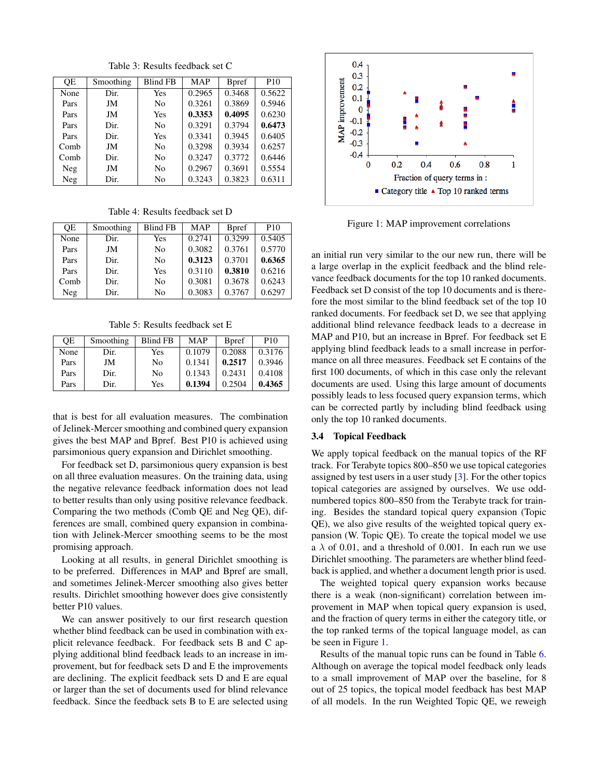| ОE   | Smoothing | <b>Blind FB</b> | <b>MAP</b> | <b>B</b> pref | P <sub>10</sub> |
|------|-----------|-----------------|------------|---------------|-----------------|
| None | Dir.      | Yes             | 0.2965     | 0.3468        | 0.5622          |
| Pars | JM        | N <sub>0</sub>  | 0.3261     | 0.3869        | 0.5946          |
| Pars | JM        | Yes             | 0.3353     | 0.4095        | 0.6230          |
| Pars | Dir.      | N <sub>0</sub>  | 0.3291     | 0.3794        | 0.6473          |
| Pars | Dir.      | Yes             | 0.3341     | 0.3945        | 0.6405          |
| Comb | JM        | N <sub>0</sub>  | 0.3298     | 0.3934        | 0.6257          |
| Comb | Dir.      | N <sub>0</sub>  | 0.3247     | 0.3772        | 0.6446          |
| Neg  | JM        | No              | 0.2967     | 0.3691        | 0.5554          |
| Neg  | Dir.      | No              | 0.3243     | 0.3823        | 0.6311          |

<span id="page-3-0"></span>Table 3: Results feedback set C

Table 4: Results feedback set D

| OE   | Smoothing | <b>Blind FB</b> | <b>MAP</b> | <b>B</b> pref | <b>P10</b> |
|------|-----------|-----------------|------------|---------------|------------|
| None | Dir.      | Yes             | 0.2741     | 0.3299        | 0.5405     |
| Pars | JM        | No              | 0.3082     | 0.3761        | 0.5770     |
| Pars | Dir.      | No              | 0.3123     | 0.3701        | 0.6365     |
| Pars | Dir.      | Yes             | 0.3110     | 0.3810        | 0.6216     |
| Comb | Dir.      | No              | 0.3081     | 0.3678        | 0.6243     |
| Neg  | Dir.      | No              | 0.3083     | 0.3767        | 0.6297     |

<span id="page-3-1"></span>Table 5: Results feedback set E

| ОE   | Smoothing | <b>Blind FB</b> | <b>MAP</b> | <b>B</b> pref | P <sub>10</sub> |
|------|-----------|-----------------|------------|---------------|-----------------|
| None | Dir.      | Yes             | 0.1079     | 0.2088        | 0.3176          |
| Pars | JM        | No              | 0.1341     | 0.2517        | 0.3946          |
| Pars | Dir.      | No              | 0.1343     | 0.2431        | 0.4108          |
| Pars | Dir.      | Yes             | 0.1394     | 0.2504        | 0.4365          |

that is best for all evaluation measures. The combination of Jelinek-Mercer smoothing and combined query expansion gives the best MAP and Bpref. Best P10 is achieved using parsimonious query expansion and Dirichlet smoothing.

For feedback set D, parsimonious query expansion is best on all three evaluation measures. On the training data, using the negative relevance feedback information does not lead to better results than only using positive relevance feedback. Comparing the two methods (Comb QE and Neg QE), differences are small, combined query expansion in combination with Jelinek-Mercer smoothing seems to be the most promising approach.

Looking at all results, in general Dirichlet smoothing is to be preferred. Differences in MAP and Bpref are small, and sometimes Jelinek-Mercer smoothing also gives better results. Dirichlet smoothing however does give consistently better P10 values.

We can answer positively to our first research question whether blind feedback can be used in combination with explicit relevance feedback. For feedback sets B and C applying additional blind feedback leads to an increase in improvement, but for feedback sets D and E the improvements are declining. The explicit feedback sets D and E are equal or larger than the set of documents used for blind relevance feedback. Since the feedback sets B to E are selected using



<span id="page-3-2"></span>Figure 1: MAP improvement correlations

an initial run very similar to the our new run, there will be a large overlap in the explicit feedback and the blind relevance feedback documents for the top 10 ranked documents. Feedback set D consist of the top 10 documents and is therefore the most similar to the blind feedback set of the top 10 ranked documents. For feedback set D, we see that applying additional blind relevance feedback leads to a decrease in MAP and P10, but an increase in Bpref. For feedback set E applying blind feedback leads to a small increase in performance on all three measures. Feedback set E contains of the first 100 documents, of which in this case only the relevant documents are used. Using this large amount of documents possibly leads to less focused query expansion terms, which can be corrected partly by including blind feedback using only the top 10 ranked documents.

#### 3.4 Topical Feedback

We apply topical feedback on the manual topics of the RF track. For Terabyte topics 800–850 we use topical categories assigned by test users in a user study [\[3\]](#page-6-7). For the other topics topical categories are assigned by ourselves. We use oddnumbered topics 800–850 from the Terabyte track for training. Besides the standard topical query expansion (Topic QE), we also give results of the weighted topical query expansion (W. Topic QE). To create the topical model we use a  $\lambda$  of 0.01, and a threshold of 0.001. In each run we use Dirichlet smoothing. The parameters are whether blind feedback is applied, and whether a document length prior is used.

The weighted topical query expansion works because there is a weak (non-significant) correlation between improvement in MAP when topical query expansion is used, and the fraction of query terms in either the category title, or the top ranked terms of the topical language model, as can be seen in Figure [1.](#page-3-2)

Results of the manual topic runs can be found in Table [6.](#page-4-0) Although on average the topical model feedback only leads to a small improvement of MAP over the baseline, for 8 out of 25 topics, the topical model feedback has best MAP of all models. In the run Weighted Topic QE, we reweigh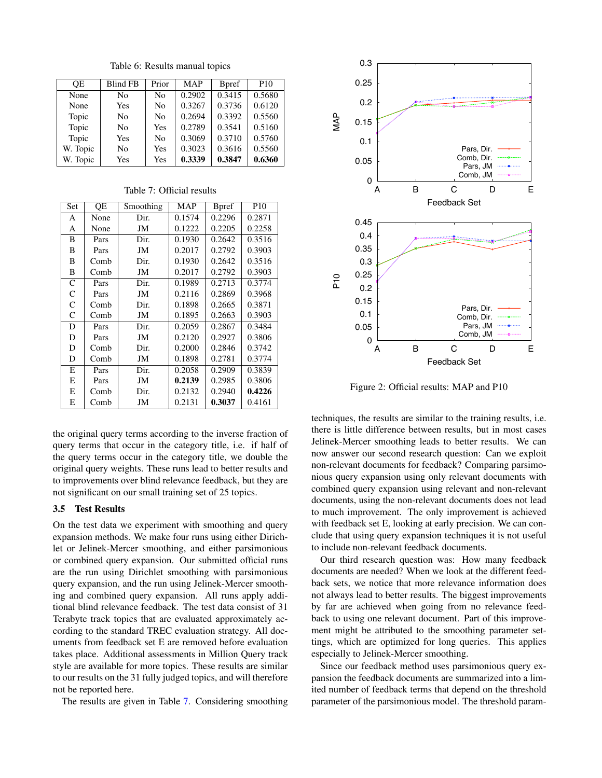<span id="page-4-0"></span>Table 6: Results manual topics

| <b>OE</b> | <b>Blind FB</b> | Prior | <b>MAP</b> | <b>B</b> pref | P <sub>10</sub> |
|-----------|-----------------|-------|------------|---------------|-----------------|
| None      | No              | No    | 0.2902     | 0.3415        | 0.5680          |
| None      | Yes             | No    | 0.3267     | 0.3736        | 0.6120          |
| Topic     | No              | No    | 0.2694     | 0.3392        | 0.5560          |
| Topic     | No              | Yes   | 0.2789     | 0.3541        | 0.5160          |
| Topic     | Yes             | No    | 0.3069     | 0.3710        | 0.5760          |
| W. Topic  | No              | Yes   | 0.3023     | 0.3616        | 0.5560          |
| W. Topic  | Yes             | Yes   | 0.3339     | 0.3847        | 0.6360          |

| Set          | QE   | Smoothing | <b>MAP</b> | <b>B</b> pref | P <sub>10</sub> |
|--------------|------|-----------|------------|---------------|-----------------|
| A            | None | Dir.      | 0.1574     | 0.2296        | 0.2871          |
| A            | None | JM        | 0.1222     | 0.2205        | 0.2258          |
| B            | Pars | Dir.      | 0.1930     | 0.2642        | 0.3516          |
| B            | Pars | JM        | 0.2017     | 0.2792        | 0.3903          |
| B            | Comb | Dir.      | 0.1930     | 0.2642        | 0.3516          |
| B            | Comb | JM        | 0.2017     | 0.2792        | 0.3903          |
| $\mathsf{C}$ | Pars | Dir.      | 0.1989     | 0.2713        | 0.3774          |
| C            | Pars | JM        | 0.2116     | 0.2869        | 0.3968          |
| $\mathsf{C}$ | Comb | Dir.      | 0.1898     | 0.2665        | 0.3871          |
| $\mathsf{C}$ | Comb | JM        | 0.1895     | 0.2663        | 0.3903          |
| D            | Pars | Dir.      | 0.2059     | 0.2867        | 0.3484          |
| D            | Pars | JM        | 0.2120     | 0.2927        | 0.3806          |
| D            | Comb | Dir.      | 0.2000     | 0.2846        | 0.3742          |
| D            | Comb | JM        | 0.1898     | 0.2781        | 0.3774          |
| E            | Pars | Dir.      | 0.2058     | 0.2909        | 0.3839          |
| E            | Pars | JM        | 0.2139     | 0.2985        | 0.3806          |
| Е            | Comb | Dir.      | 0.2132     | 0.2940        | 0.4226          |
| E            | Comb | JM        | 0.2131     | 0.3037        | 0.4161          |

<span id="page-4-1"></span>

| Table 7: Official results |  |
|---------------------------|--|
|---------------------------|--|

the original query terms according to the inverse fraction of query terms that occur in the category title, i.e. if half of the query terms occur in the category title, we double the original query weights. These runs lead to better results and to improvements over blind relevance feedback, but they are not significant on our small training set of 25 topics.

## 3.5 Test Results

On the test data we experiment with smoothing and query expansion methods. We make four runs using either Dirichlet or Jelinek-Mercer smoothing, and either parsimonious or combined query expansion. Our submitted official runs are the run using Dirichlet smoothing with parsimonious query expansion, and the run using Jelinek-Mercer smoothing and combined query expansion. All runs apply additional blind relevance feedback. The test data consist of 31 Terabyte track topics that are evaluated approximately according to the standard TREC evaluation strategy. All documents from feedback set E are removed before evaluation takes place. Additional assessments in Million Query track style are available for more topics. These results are similar to our results on the 31 fully judged topics, and will therefore not be reported here.

The results are given in Table [7.](#page-4-1) Considering smoothing



<span id="page-4-2"></span>Figure 2: Official results: MAP and P10

techniques, the results are similar to the training results, i.e. there is little difference between results, but in most cases Jelinek-Mercer smoothing leads to better results. We can now answer our second research question: Can we exploit non-relevant documents for feedback? Comparing parsimonious query expansion using only relevant documents with combined query expansion using relevant and non-relevant documents, using the non-relevant documents does not lead to much improvement. The only improvement is achieved with feedback set E, looking at early precision. We can conclude that using query expansion techniques it is not useful to include non-relevant feedback documents.

Our third research question was: How many feedback documents are needed? When we look at the different feedback sets, we notice that more relevance information does not always lead to better results. The biggest improvements by far are achieved when going from no relevance feedback to using one relevant document. Part of this improvement might be attributed to the smoothing parameter settings, which are optimized for long queries. This applies especially to Jelinek-Mercer smoothing.

Since our feedback method uses parsimonious query expansion the feedback documents are summarized into a limited number of feedback terms that depend on the threshold parameter of the parsimonious model. The threshold param-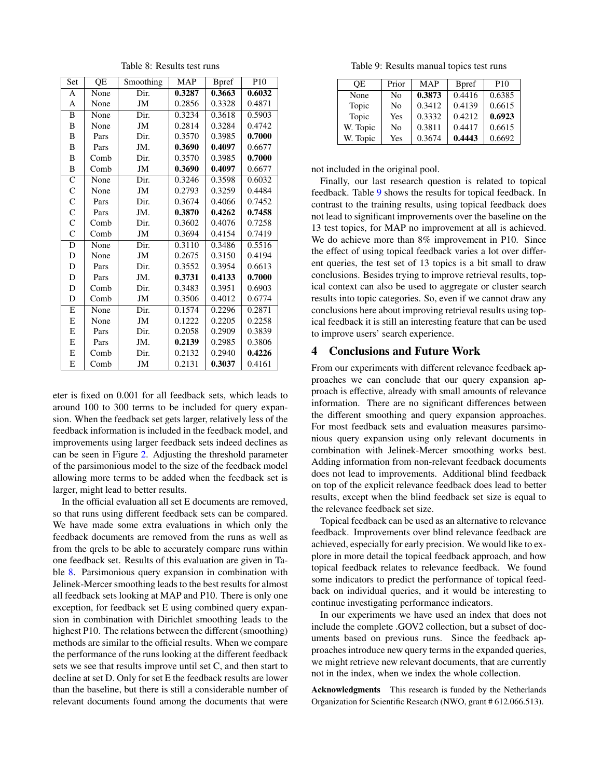| Set            | QE   | Smoothing | <b>MAP</b> | <b>B</b> pref | P <sub>10</sub> |
|----------------|------|-----------|------------|---------------|-----------------|
| A              | None | Dir.      | 0.3287     | 0.3663        | 0.6032          |
| A              | None | JM        | 0.2856     | 0.3328        | 0.4871          |
| B              | None | Dir.      | 0.3234     | 0.3618        | 0.5903          |
| B              | None | JM        | 0.2814     | 0.3284        | 0.4742          |
| B              | Pars | Dir.      | 0.3570     | 0.3985        | 0.7000          |
| B              | Pars | JM.       | 0.3690     | 0.4097        | 0.6677          |
| B              | Comb | Dir.      | 0.3570     | 0.3985        | 0.7000          |
| B              | Comb | JM        | 0.3690     | 0.4097        | 0.6677          |
| $\mathsf{C}$   | None | Dir.      | 0.3246     | 0.3598        | 0.6032          |
| $\mathsf{C}$   | None | JM        | 0.2793     | 0.3259        | 0.4484          |
| $\overline{C}$ | Pars | Dir.      | 0.3674     | 0.4066        | 0.7452          |
| $\mathsf{C}$   | Pars | JM.       | 0.3870     | 0.4262        | 0.7458          |
| $\overline{C}$ | Comb | Dir.      | 0.3602     | 0.4076        | 0.7258          |
| $\overline{C}$ | Comb | JM        | 0.3694     | 0.4154        | 0.7419          |
| D              | None | Dir.      | 0.3110     | 0.3486        | 0.5516          |
| D              | None | JM        | 0.2675     | 0.3150        | 0.4194          |
| D              | Pars | Dir.      | 0.3552     | 0.3954        | 0.6613          |
| D              | Pars | JM.       | 0.3731     | 0.4133        | 0.7000          |
| D              | Comb | Dir.      | 0.3483     | 0.3951        | 0.6903          |
| D              | Comb | JM        | 0.3506     | 0.4012        | 0.6774          |
| E              | None | Dir.      | 0.1574     | 0.2296        | 0.2871          |
| E              | None | JM        | 0.1222     | 0.2205        | 0.2258          |
| Е              | Pars | Dir.      | 0.2058     | 0.2909        | 0.3839          |
| E              | Pars | JM.       | 0.2139     | 0.2985        | 0.3806          |
| E              | Comb | Dir.      | 0.2132     | 0.2940        | 0.4226          |
| E              | Comb | JM        | 0.2131     | 0.3037        | 0.4161          |

<span id="page-5-1"></span>Table 8: Results test runs

eter is fixed on 0.001 for all feedback sets, which leads to around 100 to 300 terms to be included for query expansion. When the feedback set gets larger, relatively less of the feedback information is included in the feedback model, and improvements using larger feedback sets indeed declines as can be seen in Figure [2.](#page-4-2) Adjusting the threshold parameter of the parsimonious model to the size of the feedback model allowing more terms to be added when the feedback set is larger, might lead to better results.

In the official evaluation all set E documents are removed, so that runs using different feedback sets can be compared. We have made some extra evaluations in which only the feedback documents are removed from the runs as well as from the qrels to be able to accurately compare runs within one feedback set. Results of this evaluation are given in Table [8.](#page-5-1) Parsimonious query expansion in combination with Jelinek-Mercer smoothing leads to the best results for almost all feedback sets looking at MAP and P10. There is only one exception, for feedback set E using combined query expansion in combination with Dirichlet smoothing leads to the highest P10. The relations between the different (smoothing) methods are similar to the official results. When we compare the performance of the runs looking at the different feedback sets we see that results improve until set C, and then start to decline at set D. Only for set E the feedback results are lower than the baseline, but there is still a considerable number of relevant documents found among the documents that were

<span id="page-5-2"></span>Table 9: Results manual topics test runs

| ОE       | Prior | <b>MAP</b> | <b>B</b> pref | P <sub>10</sub> |
|----------|-------|------------|---------------|-----------------|
| None     | No    | 0.3873     | 0.4416        | 0.6385          |
| Topic    | No    | 0.3412     | 0.4139        | 0.6615          |
| Topic    | Yes   | 0.3332     | 0.4212        | 0.6923          |
| W. Topic | No    | 0.3811     | 0.4417        | 0.6615          |
| W. Topic | Yes   | 0.3674     | 0.4443        | 0.6692          |

not included in the original pool.

Finally, our last research question is related to topical feedback. Table [9](#page-5-2) shows the results for topical feedback. In contrast to the training results, using topical feedback does not lead to significant improvements over the baseline on the 13 test topics, for MAP no improvement at all is achieved. We do achieve more than 8% improvement in P10. Since the effect of using topical feedback varies a lot over different queries, the test set of 13 topics is a bit small to draw conclusions. Besides trying to improve retrieval results, topical context can also be used to aggregate or cluster search results into topic categories. So, even if we cannot draw any conclusions here about improving retrieval results using topical feedback it is still an interesting feature that can be used to improve users' search experience.

#### <span id="page-5-0"></span>4 Conclusions and Future Work

From our experiments with different relevance feedback approaches we can conclude that our query expansion approach is effective, already with small amounts of relevance information. There are no significant differences between the different smoothing and query expansion approaches. For most feedback sets and evaluation measures parsimonious query expansion using only relevant documents in combination with Jelinek-Mercer smoothing works best. Adding information from non-relevant feedback documents does not lead to improvements. Additional blind feedback on top of the explicit relevance feedback does lead to better results, except when the blind feedback set size is equal to the relevance feedback set size.

Topical feedback can be used as an alternative to relevance feedback. Improvements over blind relevance feedback are achieved, especially for early precision. We would like to explore in more detail the topical feedback approach, and how topical feedback relates to relevance feedback. We found some indicators to predict the performance of topical feedback on individual queries, and it would be interesting to continue investigating performance indicators.

In our experiments we have used an index that does not include the complete .GOV2 collection, but a subset of documents based on previous runs. Since the feedback approaches introduce new query terms in the expanded queries, we might retrieve new relevant documents, that are currently not in the index, when we index the whole collection.

Acknowledgments This research is funded by the Netherlands Organization for Scientific Research (NWO, grant # 612.066.513).